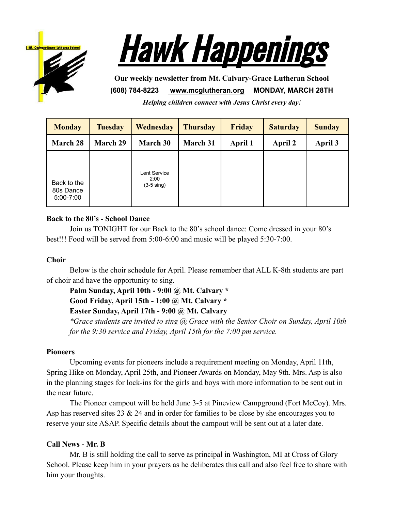



**Our weekly newsletter from Mt. Calvary-Grace Lutheran School (608) 784-8223 [www.mcglutheran.org](http://www.mcglutheran.org/) MONDAY, MARCH 28TH**

*Helping children connect with Jesus Christ every day!*

| <b>Monday</b>                             | <b>Tuesday</b> | <b>Wednesday</b>                             | <b>Thursday</b> | <b>Friday</b> | <b>Saturday</b> | <b>Sunday</b> |
|-------------------------------------------|----------------|----------------------------------------------|-----------------|---------------|-----------------|---------------|
| <b>March 28</b>                           | March 29       | <b>March 30</b>                              | March 31        | April 1       | <b>April 2</b>  | April 3       |
| Back to the<br>80s Dance<br>$5:00 - 7:00$ |                | Lent Service<br>2:00<br>$(3-5 \text{ sing})$ |                 |               |                 |               |

## **Back to the 80's - School Dance**

Join us TONIGHT for our Back to the 80's school dance: Come dressed in your 80's best!!! Food will be served from 5:00-6:00 and music will be played 5:30-7:00.

## **Choir**

Below is the choir schedule for April. Please remember that ALL K-8th students are part of choir and have the opportunity to sing.

**Palm Sunday, April 10th - 9:00 @ Mt. Calvary \* Good Friday, April 15th - 1:00 @ Mt. Calvary \* Easter Sunday, April 17th - 9:00 @ Mt. Calvary**

*\*Grace students are invited to sing @ Grace with the Senior Choir on Sunday, April 10th for the 9:30 service and Friday, April 15th for the 7:00 pm service.*

## **Pioneers**

Upcoming events for pioneers include a requirement meeting on Monday, April 11th, Spring Hike on Monday, April 25th, and Pioneer Awards on Monday, May 9th. Mrs. Asp is also in the planning stages for lock-ins for the girls and boys with more information to be sent out in the near future.

The Pioneer campout will be held June 3-5 at Pineview Campground (Fort McCoy). Mrs. Asp has reserved sites 23  $\&$  24 and in order for families to be close by she encourages you to reserve your site ASAP. Specific details about the campout will be sent out at a later date.

# **Call News - Mr. B**

Mr. B is still holding the call to serve as principal in Washington, MI at Cross of Glory School. Please keep him in your prayers as he deliberates this call and also feel free to share with him your thoughts.